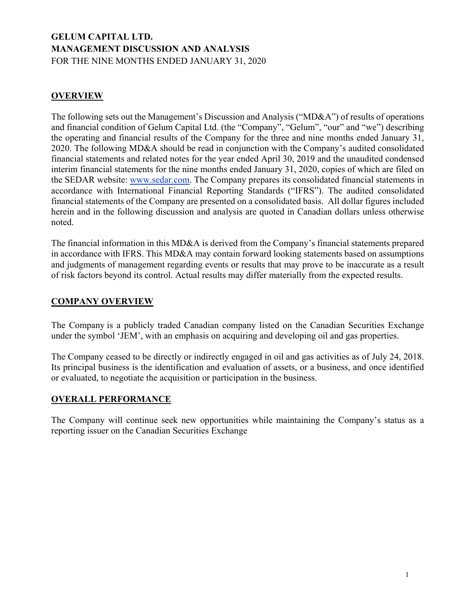# **GELUM CAPITAL LTD. MANAGEMENT DISCUSSION AND ANALYSIS** FOR THE NINE MONTHS ENDED JANUARY 31, 2020

# **OVERVIEW**

The following sets out the Management's Discussion and Analysis ("MD&A") of results of operations and financial condition of Gelum Capital Ltd. (the "Company", "Gelum", "our" and "we") describing the operating and financial results of the Company for the three and nine months ended January 31, 2020. The following MD&A should be read in conjunction with the Company's audited consolidated financial statements and related notes for the year ended April 30, 2019 and the unaudited condensed interim financial statements for the nine months ended January 31, 2020, copies of which are filed on the SEDAR website: www.sedar.com. The Company prepares its consolidated financial statements in accordance with International Financial Reporting Standards ("IFRS"). The audited consolidated financial statements of the Company are presented on a consolidated basis. All dollar figures included herein and in the following discussion and analysis are quoted in Canadian dollars unless otherwise noted.

The financial information in this MD&A is derived from the Company's financial statements prepared in accordance with IFRS. This MD&A may contain forward looking statements based on assumptions and judgments of management regarding events or results that may prove to be inaccurate as a result of risk factors beyond its control. Actual results may differ materially from the expected results.

## **COMPANY OVERVIEW**

The Company is a publicly traded Canadian company listed on the Canadian Securities Exchange under the symbol 'JEM', with an emphasis on acquiring and developing oil and gas properties.

The Company ceased to be directly or indirectly engaged in oil and gas activities as of July 24, 2018. Its principal business is the identification and evaluation of assets, or a business, and once identified or evaluated, to negotiate the acquisition or participation in the business.

## **OVERALL PERFORMANCE**

The Company will continue seek new opportunities while maintaining the Company's status as a reporting issuer on the Canadian Securities Exchange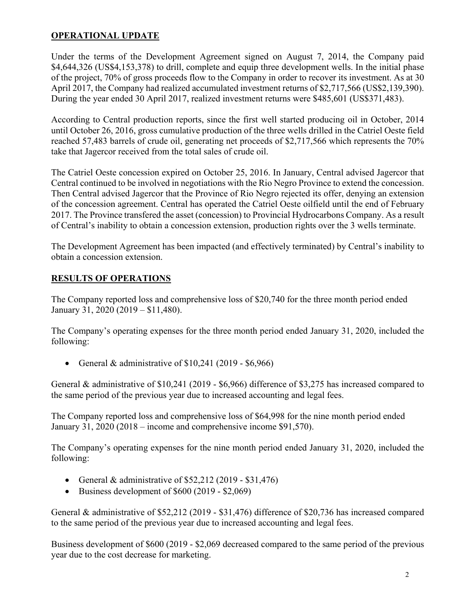# **OPERATIONAL UPDATE**

Under the terms of the Development Agreement signed on August 7, 2014, the Company paid \$4,644,326 (US\$4,153,378) to drill, complete and equip three development wells. In the initial phase of the project, 70% of gross proceeds flow to the Company in order to recover its investment. As at 30 April 2017, the Company had realized accumulated investment returns of \$2,717,566 (US\$2,139,390). During the year ended 30 April 2017, realized investment returns were \$485,601 (US\$371,483).

According to Central production reports, since the first well started producing oil in October, 2014 until October 26, 2016, gross cumulative production of the three wells drilled in the Catriel Oeste field reached 57,483 barrels of crude oil, generating net proceeds of \$2,717,566 which represents the 70% take that Jagercor received from the total sales of crude oil.

The Catriel Oeste concession expired on October 25, 2016. In January, Central advised Jagercor that Central continued to be involved in negotiations with the Rio Negro Province to extend the concession. Then Central advised Jagercor that the Province of Rio Negro rejected its offer, denying an extension of the concession agreement. Central has operated the Catriel Oeste oilfield until the end of February 2017. The Province transfered the asset (concession) to Provincial Hydrocarbons Company. As a result of Central's inability to obtain a concession extension, production rights over the 3 wells terminate.

The Development Agreement has been impacted (and effectively terminated) by Central's inability to obtain a concession extension.

## **RESULTS OF OPERATIONS**

The Company reported loss and comprehensive loss of \$20,740 for the three month period ended January 31, 2020 (2019 – \$11,480).

The Company's operating expenses for the three month period ended January 31, 2020, included the following:

General & administrative of  $$10,241$  (2019 -  $$6,966$ )

General & administrative of \$10,241 (2019 - \$6,966) difference of \$3,275 has increased compared to the same period of the previous year due to increased accounting and legal fees.

The Company reported loss and comprehensive loss of \$64,998 for the nine month period ended January 31, 2020 (2018 – income and comprehensive income \$91,570).

The Company's operating expenses for the nine month period ended January 31, 2020, included the following:

- General & administrative of  $$52,212$  (2019 \$31,476)
- Business development of  $$600 (2019 $2,069)$

General & administrative of \$52,212 (2019 - \$31,476) difference of \$20,736 has increased compared to the same period of the previous year due to increased accounting and legal fees.

Business development of \$600 (2019 - \$2,069 decreased compared to the same period of the previous year due to the cost decrease for marketing.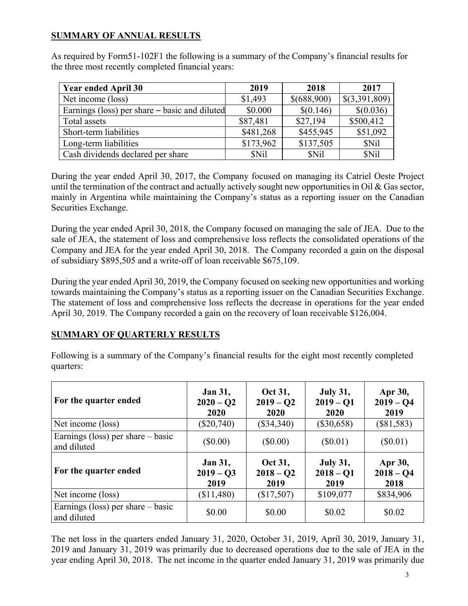# **SUMMARY OF ANNUAL RESULTS**

As required by Form51-102F1 the following is a summary of the Company's financial results for the three most recently completed financial years:

| <b>Year ended April 30</b>                    | 2019      | 2018        | 2017          |
|-----------------------------------------------|-----------|-------------|---------------|
| Net income (loss)                             | \$1,493   | \$(688,900) | \$(3,391,809) |
| Earnings (loss) per share – basic and diluted | \$0.000   | \$(0.146)   | \$(0.036)     |
| Total assets                                  | \$87,481  | \$27,194    | \$500,412     |
| Short-term liabilities                        | \$481,268 | \$455,945   | \$51,092      |
| Long-term liabilities                         | \$173,962 | \$137,505   | \$Nil         |
| Cash dividends declared per share             | \$Nil     | \$Nil       | \$Nil         |

During the year ended April 30, 2017, the Company focused on managing its Catriel Oeste Project until the termination of the contract and actually actively sought new opportunities in Oil & Gas sector, mainly in Argentina while maintaining the Company's status as a reporting issuer on the Canadian Securities Exchange.

During the year ended April 30, 2018, the Company focused on managing the sale of JEA. Due to the sale of JEA, the statement of loss and comprehensive loss reflects the consolidated operations of the Company and JEA for the year ended April 30, 2018. The Company recorded a gain on the disposal of subsidiary \$895,505 and a write-off of loan receivable \$675,109.

During the year ended April 30, 2019, the Company focused on seeking new opportunities and working towards maintaining the Company's status as a reporting issuer on the Canadian Securities Exchange. The statement of loss and comprehensive loss reflects the decrease in operations for the year ended April 30, 2019. The Company recorded a gain on the recovery of loan receivable \$126,004.

## **SUMMARY OF QUARTERLY RESULTS**

Following is a summary of the Company's financial results for the eight most recently completed quarters:

| For the quarter ended                              | <b>Jan 31,</b><br>$2020 - Q2$<br>2020 | Oct 31,<br>$2019 - 02$<br>2020 | <b>July 31,</b><br>$2019 - 01$<br>2020 | Apr 30,<br>$2019 - Q4$<br>2019 |
|----------------------------------------------------|---------------------------------------|--------------------------------|----------------------------------------|--------------------------------|
| Net income (loss)                                  | $(\$20,740)$                          | $(\$34,340)$                   | $(\$30,658)$                           | $(\$81,583)$                   |
| Earnings (loss) per share $-$ basic<br>and diluted | $(\$0.00)$                            | $(\$0.00)$                     | $(\$0.01)$                             | $(\$0.01)$                     |
| For the quarter ended                              | <b>Jan 31,</b><br>$2019 - 03$<br>2019 | Oct 31,<br>$2018 - Q2$<br>2019 | <b>July 31,</b><br>$2018 - Q1$<br>2019 | Apr 30,<br>$2018 - Q4$<br>2018 |
| Net income (loss)                                  | (\$11,480)                            | (\$17,507)                     | \$109,077                              | \$834,906                      |
| Earnings (loss) per share $-$ basic                | \$0.00                                | \$0.00                         | \$0.02                                 | \$0.02                         |

The net loss in the quarters ended January 31, 2020, October 31, 2019, April 30, 2019, January 31, 2019 and January 31, 2019 was primarily due to decreased operations due to the sale of JEA in the year ending April 30, 2018. The net income in the quarter ended January 31, 2019 was primarily due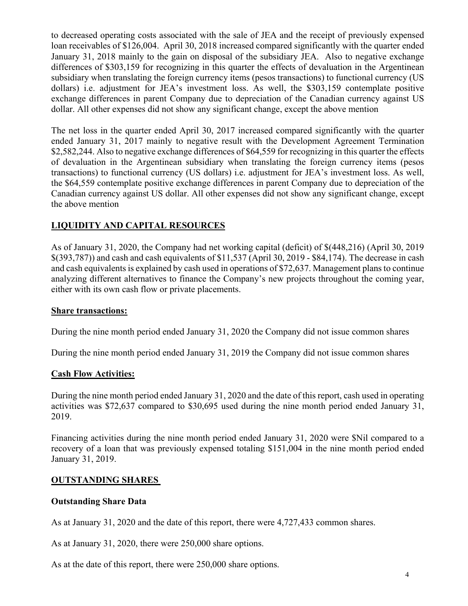to decreased operating costs associated with the sale of JEA and the receipt of previously expensed loan receivables of \$126,004. April 30, 2018 increased compared significantly with the quarter ended January 31, 2018 mainly to the gain on disposal of the subsidiary JEA. Also to negative exchange differences of \$303,159 for recognizing in this quarter the effects of devaluation in the Argentinean subsidiary when translating the foreign currency items (pesos transactions) to functional currency (US dollars) i.e. adjustment for JEA's investment loss. As well, the \$303,159 contemplate positive exchange differences in parent Company due to depreciation of the Canadian currency against US dollar. All other expenses did not show any significant change, except the above mention

The net loss in the quarter ended April 30, 2017 increased compared significantly with the quarter ended January 31, 2017 mainly to negative result with the Development Agreement Termination \$2,582,244. Also to negative exchange differences of \$64,559 for recognizing in this quarter the effects of devaluation in the Argentinean subsidiary when translating the foreign currency items (pesos transactions) to functional currency (US dollars) i.e. adjustment for JEA's investment loss. As well, the \$64,559 contemplate positive exchange differences in parent Company due to depreciation of the Canadian currency against US dollar. All other expenses did not show any significant change, except the above mention

# **LIQUIDITY AND CAPITAL RESOURCES**

As of January 31, 2020, the Company had net working capital (deficit) of \$(448,216) (April 30, 2019 \$(393,787)) and cash and cash equivalents of \$11,537 (April 30, 2019 - \$84,174). The decrease in cash and cash equivalents is explained by cash used in operations of \$72,637. Management plans to continue analyzing different alternatives to finance the Company's new projects throughout the coming year, either with its own cash flow or private placements.

### **Share transactions:**

During the nine month period ended January 31, 2020 the Company did not issue common shares

During the nine month period ended January 31, 2019 the Company did not issue common shares

### **Cash Flow Activities:**

During the nine month period ended January 31, 2020 and the date of this report, cash used in operating activities was \$72,637 compared to \$30,695 used during the nine month period ended January 31, 2019.

Financing activities during the nine month period ended January 31, 2020 were \$Nil compared to a recovery of a loan that was previously expensed totaling \$151,004 in the nine month period ended January 31, 2019.

### **OUTSTANDING SHARES**

### **Outstanding Share Data**

As at January 31, 2020 and the date of this report, there were 4,727,433 common shares.

As at January 31, 2020, there were 250,000 share options.

As at the date of this report, there were 250,000 share options.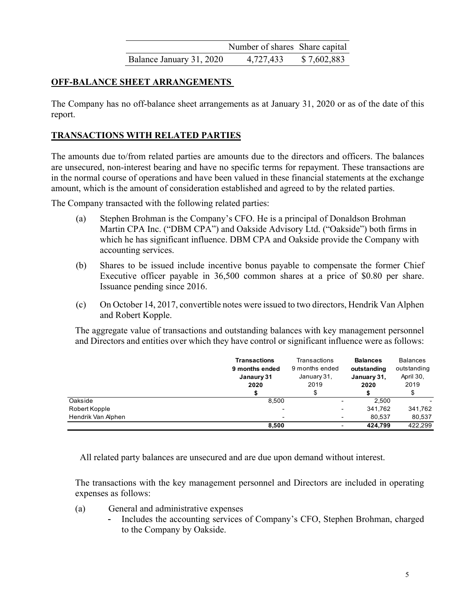|                          | Number of shares Share capital |             |
|--------------------------|--------------------------------|-------------|
| Balance January 31, 2020 | 4,727,433                      | \$7,602,883 |

# **OFF-BALANCE SHEET ARRANGEMENTS**

The Company has no off-balance sheet arrangements as at January 31, 2020 or as of the date of this report.

# **TRANSACTIONS WITH RELATED PARTIES**

The amounts due to/from related parties are amounts due to the directors and officers. The balances are unsecured, non-interest bearing and have no specific terms for repayment. These transactions are in the normal course of operations and have been valued in these financial statements at the exchange amount, which is the amount of consideration established and agreed to by the related parties.

The Company transacted with the following related parties:

- (a) Stephen Brohman is the Company's CFO. He is a principal of Donaldson Brohman Martin CPA Inc. ("DBM CPA") and Oakside Advisory Ltd. ("Oakside") both firms in which he has significant influence. DBM CPA and Oakside provide the Company with accounting services.
- (b) Shares to be issued include incentive bonus payable to compensate the former Chief Executive officer payable in 36,500 common shares at a price of \$0.80 per share. Issuance pending since 2016.
- (c) On October 14, 2017, convertible notes were issued to two directors, Hendrik Van Alphen and Robert Kopple.

The aggregate value of transactions and outstanding balances with key management personnel and Directors and entities over which they have control or significant influence were as follows:

|                    | <b>Transactions</b><br>9 months ended<br>Janaury 31<br>2020 | Transactions<br>9 months ended<br>January 31,<br>2019 | <b>Balances</b><br>outstanding<br>January 31,<br>2020 | <b>Balances</b><br>outstanding<br>April 30,<br>2019 |
|--------------------|-------------------------------------------------------------|-------------------------------------------------------|-------------------------------------------------------|-----------------------------------------------------|
| Oakside            | 8.500                                                       |                                                       | 2.500                                                 |                                                     |
| Robert Kopple      |                                                             | ٠                                                     | 341.762                                               | 341,762                                             |
| Hendrik Van Alphen |                                                             | $\blacksquare$                                        | 80.537                                                | 80,537                                              |
|                    | 8.500                                                       | ٠                                                     | 424.799                                               | 422.299                                             |

All related party balances are unsecured and are due upon demand without interest.

The transactions with the key management personnel and Directors are included in operating expenses as follows:

- (a) General and administrative expenses
	- Includes the accounting services of Company's CFO, Stephen Brohman, charged to the Company by Oakside.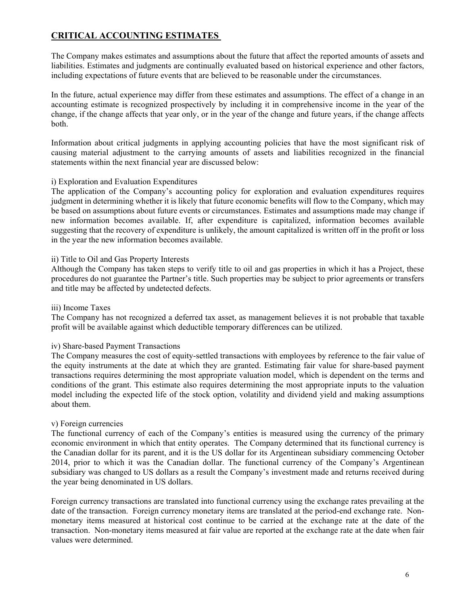# **CRITICAL ACCOUNTING ESTIMATES**

The Company makes estimates and assumptions about the future that affect the reported amounts of assets and liabilities. Estimates and judgments are continually evaluated based on historical experience and other factors, including expectations of future events that are believed to be reasonable under the circumstances.

In the future, actual experience may differ from these estimates and assumptions. The effect of a change in an accounting estimate is recognized prospectively by including it in comprehensive income in the year of the change, if the change affects that year only, or in the year of the change and future years, if the change affects both.

Information about critical judgments in applying accounting policies that have the most significant risk of causing material adjustment to the carrying amounts of assets and liabilities recognized in the financial statements within the next financial year are discussed below:

#### i) Exploration and Evaluation Expenditures

The application of the Company's accounting policy for exploration and evaluation expenditures requires judgment in determining whether it is likely that future economic benefits will flow to the Company, which may be based on assumptions about future events or circumstances. Estimates and assumptions made may change if new information becomes available. If, after expenditure is capitalized, information becomes available suggesting that the recovery of expenditure is unlikely, the amount capitalized is written off in the profit or loss in the year the new information becomes available.

#### ii) Title to Oil and Gas Property Interests

Although the Company has taken steps to verify title to oil and gas properties in which it has a Project, these procedures do not guarantee the Partner's title. Such properties may be subject to prior agreements or transfers and title may be affected by undetected defects.

#### iii) Income Taxes

The Company has not recognized a deferred tax asset, as management believes it is not probable that taxable profit will be available against which deductible temporary differences can be utilized.

#### iv) Share-based Payment Transactions

The Company measures the cost of equity-settled transactions with employees by reference to the fair value of the equity instruments at the date at which they are granted. Estimating fair value for share-based payment transactions requires determining the most appropriate valuation model, which is dependent on the terms and conditions of the grant. This estimate also requires determining the most appropriate inputs to the valuation model including the expected life of the stock option, volatility and dividend yield and making assumptions about them.

#### v) Foreign currencies

The functional currency of each of the Company's entities is measured using the currency of the primary economic environment in which that entity operates. The Company determined that its functional currency is the Canadian dollar for its parent, and it is the US dollar for its Argentinean subsidiary commencing October 2014, prior to which it was the Canadian dollar. The functional currency of the Company's Argentinean subsidiary was changed to US dollars as a result the Company's investment made and returns received during the year being denominated in US dollars.

Foreign currency transactions are translated into functional currency using the exchange rates prevailing at the date of the transaction. Foreign currency monetary items are translated at the period-end exchange rate. Nonmonetary items measured at historical cost continue to be carried at the exchange rate at the date of the transaction. Non-monetary items measured at fair value are reported at the exchange rate at the date when fair values were determined.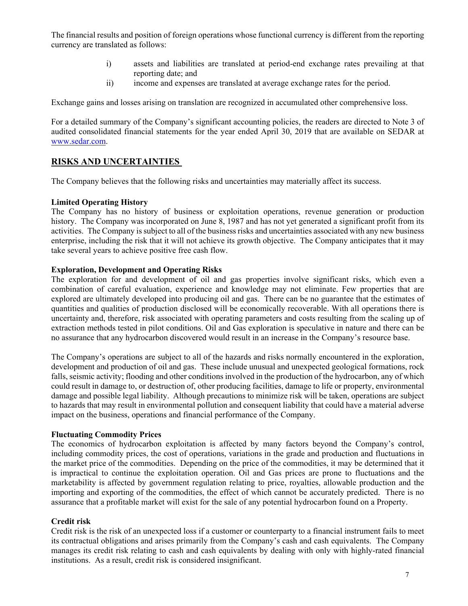The financial results and position of foreign operations whose functional currency is different from the reporting currency are translated as follows:

- i) assets and liabilities are translated at period-end exchange rates prevailing at that reporting date; and
- ii) income and expenses are translated at average exchange rates for the period.

Exchange gains and losses arising on translation are recognized in accumulated other comprehensive loss.

For a detailed summary of the Company's significant accounting policies, the readers are directed to Note 3 of audited consolidated financial statements for the year ended April 30, 2019 that are available on SEDAR at www.sedar.com.

## **RISKS AND UNCERTAINTIES**

The Company believes that the following risks and uncertainties may materially affect its success.

#### **Limited Operating History**

The Company has no history of business or exploitation operations, revenue generation or production history. The Company was incorporated on June 8, 1987 and has not yet generated a significant profit from its activities. The Company is subject to all of the business risks and uncertainties associated with any new business enterprise, including the risk that it will not achieve its growth objective. The Company anticipates that it may take several years to achieve positive free cash flow.

#### **Exploration, Development and Operating Risks**

The exploration for and development of oil and gas properties involve significant risks, which even a combination of careful evaluation, experience and knowledge may not eliminate. Few properties that are explored are ultimately developed into producing oil and gas. There can be no guarantee that the estimates of quantities and qualities of production disclosed will be economically recoverable. With all operations there is uncertainty and, therefore, risk associated with operating parameters and costs resulting from the scaling up of extraction methods tested in pilot conditions. Oil and Gas exploration is speculative in nature and there can be no assurance that any hydrocarbon discovered would result in an increase in the Company's resource base.

The Company's operations are subject to all of the hazards and risks normally encountered in the exploration, development and production of oil and gas. These include unusual and unexpected geological formations, rock falls, seismic activity; flooding and other conditions involved in the production of the hydrocarbon, any of which could result in damage to, or destruction of, other producing facilities, damage to life or property, environmental damage and possible legal liability. Although precautions to minimize risk will be taken, operations are subject to hazards that may result in environmental pollution and consequent liability that could have a material adverse impact on the business, operations and financial performance of the Company.

#### **Fluctuating Commodity Prices**

The economics of hydrocarbon exploitation is affected by many factors beyond the Company's control, including commodity prices, the cost of operations, variations in the grade and production and fluctuations in the market price of the commodities. Depending on the price of the commodities, it may be determined that it is impractical to continue the exploitation operation. Oil and Gas prices are prone to fluctuations and the marketability is affected by government regulation relating to price, royalties, allowable production and the importing and exporting of the commodities, the effect of which cannot be accurately predicted. There is no assurance that a profitable market will exist for the sale of any potential hydrocarbon found on a Property.

#### **Credit risk**

Credit risk is the risk of an unexpected loss if a customer or counterparty to a financial instrument fails to meet its contractual obligations and arises primarily from the Company's cash and cash equivalents. The Company manages its credit risk relating to cash and cash equivalents by dealing with only with highly-rated financial institutions. As a result, credit risk is considered insignificant.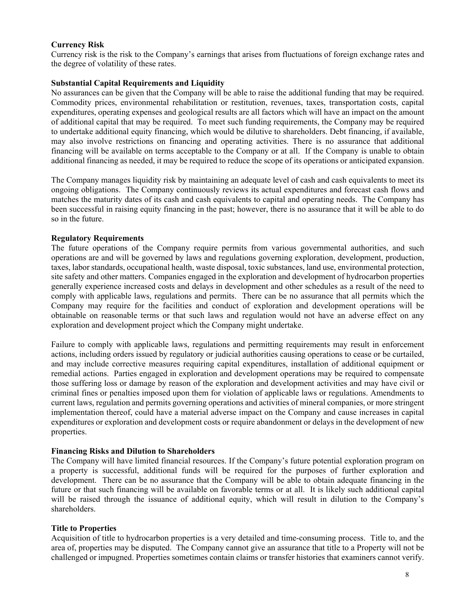### **Currency Risk**

Currency risk is the risk to the Company's earnings that arises from fluctuations of foreign exchange rates and the degree of volatility of these rates.

#### **Substantial Capital Requirements and Liquidity**

No assurances can be given that the Company will be able to raise the additional funding that may be required. Commodity prices, environmental rehabilitation or restitution, revenues, taxes, transportation costs, capital expenditures, operating expenses and geological results are all factors which will have an impact on the amount of additional capital that may be required. To meet such funding requirements, the Company may be required to undertake additional equity financing, which would be dilutive to shareholders. Debt financing, if available, may also involve restrictions on financing and operating activities. There is no assurance that additional financing will be available on terms acceptable to the Company or at all. If the Company is unable to obtain additional financing as needed, it may be required to reduce the scope of its operations or anticipated expansion.

The Company manages liquidity risk by maintaining an adequate level of cash and cash equivalents to meet its ongoing obligations. The Company continuously reviews its actual expenditures and forecast cash flows and matches the maturity dates of its cash and cash equivalents to capital and operating needs. The Company has been successful in raising equity financing in the past; however, there is no assurance that it will be able to do so in the future.

#### **Regulatory Requirements**

The future operations of the Company require permits from various governmental authorities, and such operations are and will be governed by laws and regulations governing exploration, development, production, taxes, labor standards, occupational health, waste disposal, toxic substances, land use, environmental protection, site safety and other matters. Companies engaged in the exploration and development of hydrocarbon properties generally experience increased costs and delays in development and other schedules as a result of the need to comply with applicable laws, regulations and permits. There can be no assurance that all permits which the Company may require for the facilities and conduct of exploration and development operations will be obtainable on reasonable terms or that such laws and regulation would not have an adverse effect on any exploration and development project which the Company might undertake.

Failure to comply with applicable laws, regulations and permitting requirements may result in enforcement actions, including orders issued by regulatory or judicial authorities causing operations to cease or be curtailed, and may include corrective measures requiring capital expenditures, installation of additional equipment or remedial actions. Parties engaged in exploration and development operations may be required to compensate those suffering loss or damage by reason of the exploration and development activities and may have civil or criminal fines or penalties imposed upon them for violation of applicable laws or regulations. Amendments to current laws, regulation and permits governing operations and activities of mineral companies, or more stringent implementation thereof, could have a material adverse impact on the Company and cause increases in capital expenditures or exploration and development costs or require abandonment or delays in the development of new properties.

### **Financing Risks and Dilution to Shareholders**

The Company will have limited financial resources. If the Company's future potential exploration program on a property is successful, additional funds will be required for the purposes of further exploration and development. There can be no assurance that the Company will be able to obtain adequate financing in the future or that such financing will be available on favorable terms or at all. It is likely such additional capital will be raised through the issuance of additional equity, which will result in dilution to the Company's shareholders.

#### **Title to Properties**

Acquisition of title to hydrocarbon properties is a very detailed and time-consuming process. Title to, and the area of, properties may be disputed. The Company cannot give an assurance that title to a Property will not be challenged or impugned. Properties sometimes contain claims or transfer histories that examiners cannot verify.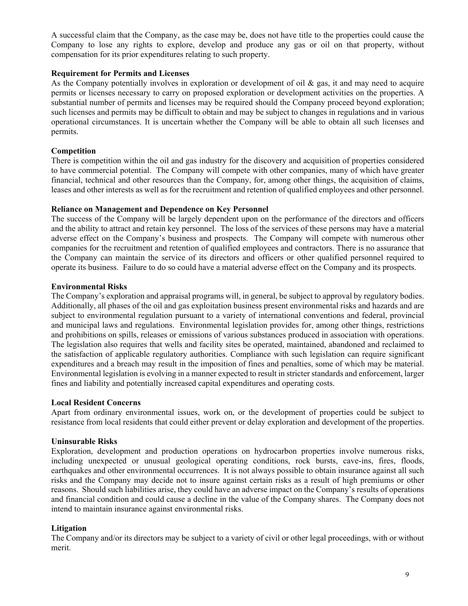A successful claim that the Company, as the case may be, does not have title to the properties could cause the Company to lose any rights to explore, develop and produce any gas or oil on that property, without compensation for its prior expenditures relating to such property.

#### **Requirement for Permits and Licenses**

As the Company potentially involves in exploration or development of oil  $\&$  gas, it and may need to acquire permits or licenses necessary to carry on proposed exploration or development activities on the properties. A substantial number of permits and licenses may be required should the Company proceed beyond exploration; such licenses and permits may be difficult to obtain and may be subject to changes in regulations and in various operational circumstances. It is uncertain whether the Company will be able to obtain all such licenses and permits.

### **Competition**

There is competition within the oil and gas industry for the discovery and acquisition of properties considered to have commercial potential. The Company will compete with other companies, many of which have greater financial, technical and other resources than the Company, for, among other things, the acquisition of claims, leases and other interests as well as for the recruitment and retention of qualified employees and other personnel.

#### **Reliance on Management and Dependence on Key Personnel**

The success of the Company will be largely dependent upon on the performance of the directors and officers and the ability to attract and retain key personnel. The loss of the services of these persons may have a material adverse effect on the Company's business and prospects. The Company will compete with numerous other companies for the recruitment and retention of qualified employees and contractors. There is no assurance that the Company can maintain the service of its directors and officers or other qualified personnel required to operate its business. Failure to do so could have a material adverse effect on the Company and its prospects.

### **Environmental Risks**

The Company's exploration and appraisal programs will, in general, be subject to approval by regulatory bodies. Additionally, all phases of the oil and gas exploitation business present environmental risks and hazards and are subject to environmental regulation pursuant to a variety of international conventions and federal, provincial and municipal laws and regulations. Environmental legislation provides for, among other things, restrictions and prohibitions on spills, releases or emissions of various substances produced in association with operations. The legislation also requires that wells and facility sites be operated, maintained, abandoned and reclaimed to the satisfaction of applicable regulatory authorities. Compliance with such legislation can require significant expenditures and a breach may result in the imposition of fines and penalties, some of which may be material. Environmental legislation is evolving in a manner expected to result in stricter standards and enforcement, larger fines and liability and potentially increased capital expenditures and operating costs.

#### **Local Resident Concerns**

Apart from ordinary environmental issues, work on, or the development of properties could be subject to resistance from local residents that could either prevent or delay exploration and development of the properties.

#### **Uninsurable Risks**

Exploration, development and production operations on hydrocarbon properties involve numerous risks, including unexpected or unusual geological operating conditions, rock bursts, cave-ins, fires, floods, earthquakes and other environmental occurrences. It is not always possible to obtain insurance against all such risks and the Company may decide not to insure against certain risks as a result of high premiums or other reasons. Should such liabilities arise, they could have an adverse impact on the Company's results of operations and financial condition and could cause a decline in the value of the Company shares. The Company does not intend to maintain insurance against environmental risks.

#### **Litigation**

The Company and/or its directors may be subject to a variety of civil or other legal proceedings, with or without merit.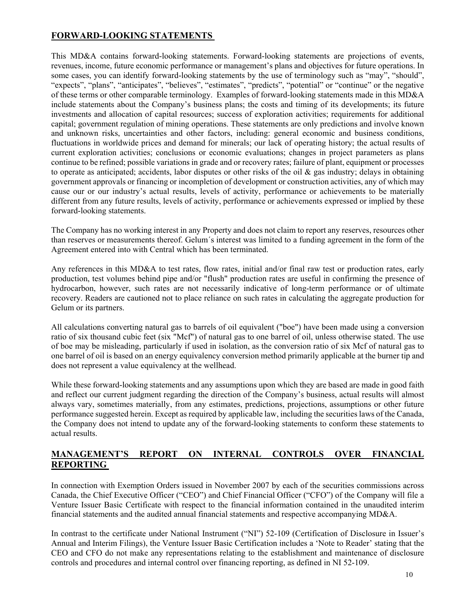# **FORWARD-LOOKING STATEMENTS**

This MD&A contains forward-looking statements. Forward-looking statements are projections of events, revenues, income, future economic performance or management's plans and objectives for future operations. In some cases, you can identify forward-looking statements by the use of terminology such as "may", "should", "expects", "plans", "anticipates", "believes", "estimates", "predicts", "potential" or "continue" or the negative of these terms or other comparable terminology. Examples of forward-looking statements made in this MD&A include statements about the Company's business plans; the costs and timing of its developments; its future investments and allocation of capital resources; success of exploration activities; requirements for additional capital; government regulation of mining operations. These statements are only predictions and involve known and unknown risks, uncertainties and other factors, including: general economic and business conditions, fluctuations in worldwide prices and demand for minerals; our lack of operating history; the actual results of current exploration activities; conclusions or economic evaluations; changes in project parameters as plans continue to be refined; possible variations in grade and or recovery rates; failure of plant, equipment or processes to operate as anticipated; accidents, labor disputes or other risks of the oil  $\&$  gas industry; delays in obtaining government approvals or financing or incompletion of development or construction activities, any of which may cause our or our industry's actual results, levels of activity, performance or achievements to be materially different from any future results, levels of activity, performance or achievements expressed or implied by these forward-looking statements.

The Company has no working interest in any Property and does not claim to report any reserves, resources other than reserves or measurements thereof. Gelum´s interest was limited to a funding agreement in the form of the Agreement entered into with Central which has been terminated.

Any references in this MD&A to test rates, flow rates, initial and/or final raw test or production rates, early production, test volumes behind pipe and/or "flush" production rates are useful in confirming the presence of hydrocarbon, however, such rates are not necessarily indicative of long-term performance or of ultimate recovery. Readers are cautioned not to place reliance on such rates in calculating the aggregate production for Gelum or its partners.

All calculations converting natural gas to barrels of oil equivalent ("boe") have been made using a conversion ratio of six thousand cubic feet (six "Mcf") of natural gas to one barrel of oil, unless otherwise stated. The use of boe may be misleading, particularly if used in isolation, as the conversion ratio of six Mcf of natural gas to one barrel of oil is based on an energy equivalency conversion method primarily applicable at the burner tip and does not represent a value equivalency at the wellhead.

While these forward-looking statements and any assumptions upon which they are based are made in good faith and reflect our current judgment regarding the direction of the Company's business, actual results will almost always vary, sometimes materially, from any estimates, predictions, projections, assumptions or other future performance suggested herein. Except as required by applicable law, including the securities laws of the Canada, the Company does not intend to update any of the forward-looking statements to conform these statements to actual results.

## **MANAGEMENT'S REPORT ON INTERNAL CONTROLS OVER FINANCIAL REPORTING**

In connection with Exemption Orders issued in November 2007 by each of the securities commissions across Canada, the Chief Executive Officer ("CEO") and Chief Financial Officer ("CFO") of the Company will file a Venture Issuer Basic Certificate with respect to the financial information contained in the unaudited interim financial statements and the audited annual financial statements and respective accompanying MD&A.

In contrast to the certificate under National Instrument ("NI") 52-109 (Certification of Disclosure in Issuer's Annual and Interim Filings), the Venture Issuer Basic Certification includes a 'Note to Reader' stating that the CEO and CFO do not make any representations relating to the establishment and maintenance of disclosure controls and procedures and internal control over financing reporting, as defined in NI 52-109.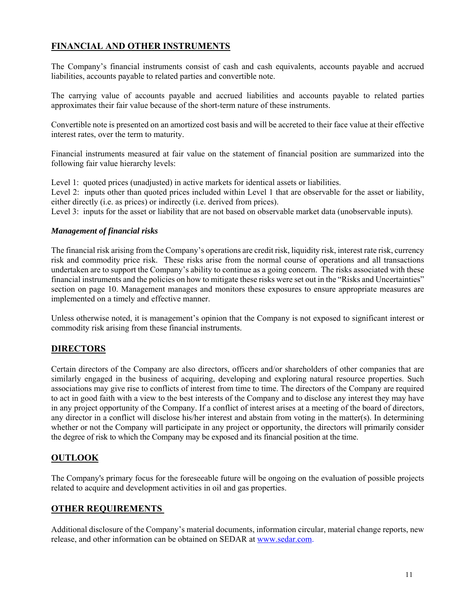# **FINANCIAL AND OTHER INSTRUMENTS**

The Company's financial instruments consist of cash and cash equivalents, accounts payable and accrued liabilities, accounts payable to related parties and convertible note.

The carrying value of accounts payable and accrued liabilities and accounts payable to related parties approximates their fair value because of the short-term nature of these instruments.

Convertible note is presented on an amortized cost basis and will be accreted to their face value at their effective interest rates, over the term to maturity.

Financial instruments measured at fair value on the statement of financial position are summarized into the following fair value hierarchy levels:

Level 1: quoted prices (unadjusted) in active markets for identical assets or liabilities.

Level 2: inputs other than quoted prices included within Level 1 that are observable for the asset or liability, either directly (i.e. as prices) or indirectly (i.e. derived from prices).

Level 3: inputs for the asset or liability that are not based on observable market data (unobservable inputs).

### *Management of financial risks*

The financial risk arising from the Company's operations are credit risk, liquidity risk, interest rate risk, currency risk and commodity price risk. These risks arise from the normal course of operations and all transactions undertaken are to support the Company's ability to continue as a going concern. The risks associated with these financial instruments and the policies on how to mitigate these risks were set out in the "Risks and Uncertainties" section on page 10. Management manages and monitors these exposures to ensure appropriate measures are implemented on a timely and effective manner.

Unless otherwise noted, it is management's opinion that the Company is not exposed to significant interest or commodity risk arising from these financial instruments.

### **DIRECTORS**

Certain directors of the Company are also directors, officers and/or shareholders of other companies that are similarly engaged in the business of acquiring, developing and exploring natural resource properties. Such associations may give rise to conflicts of interest from time to time. The directors of the Company are required to act in good faith with a view to the best interests of the Company and to disclose any interest they may have in any project opportunity of the Company. If a conflict of interest arises at a meeting of the board of directors, any director in a conflict will disclose his/her interest and abstain from voting in the matter(s). In determining whether or not the Company will participate in any project or opportunity, the directors will primarily consider the degree of risk to which the Company may be exposed and its financial position at the time.

### **OUTLOOK**

The Company's primary focus for the foreseeable future will be ongoing on the evaluation of possible projects related to acquire and development activities in oil and gas properties.

#### **OTHER REQUIREMENTS**

Additional disclosure of the Company's material documents, information circular, material change reports, new release, and other information can be obtained on SEDAR at www.sedar.com.